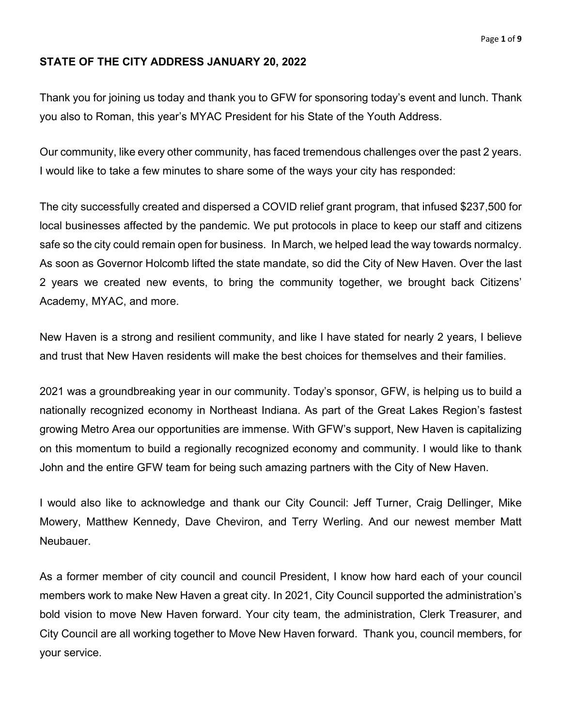## **STATE OF THE CITY ADDRESS JANUARY 20, 2022**

Thank you for joining us today and thank you to GFW for sponsoring today's event and lunch. Thank you also to Roman, this year's MYAC President for his State of the Youth Address.

Our community, like every other community, has faced tremendous challenges over the past 2 years. I would like to take a few minutes to share some of the ways your city has responded:

The city successfully created and dispersed a COVID relief grant program, that infused \$237,500 for local businesses affected by the pandemic. We put protocols in place to keep our staff and citizens safe so the city could remain open for business. In March, we helped lead the way towards normalcy. As soon as Governor Holcomb lifted the state mandate, so did the City of New Haven. Over the last 2 years we created new events, to bring the community together, we brought back Citizens' Academy, MYAC, and more.

New Haven is a strong and resilient community, and like I have stated for nearly 2 years, I believe and trust that New Haven residents will make the best choices for themselves and their families.

2021 was a groundbreaking year in our community. Today's sponsor, GFW, is helping us to build a nationally recognized economy in Northeast Indiana. As part of the Great Lakes Region's fastest growing Metro Area our opportunities are immense. With GFW's support, New Haven is capitalizing on this momentum to build a regionally recognized economy and community. I would like to thank John and the entire GFW team for being such amazing partners with the City of New Haven.

I would also like to acknowledge and thank our City Council: Jeff Turner, Craig Dellinger, Mike Mowery, Matthew Kennedy, Dave Cheviron, and Terry Werling. And our newest member Matt **Neubauer** 

As a former member of city council and council President, I know how hard each of your council members work to make New Haven a great city. In 2021, City Council supported the administration's bold vision to move New Haven forward. Your city team, the administration, Clerk Treasurer, and City Council are all working together to Move New Haven forward. Thank you, council members, for your service.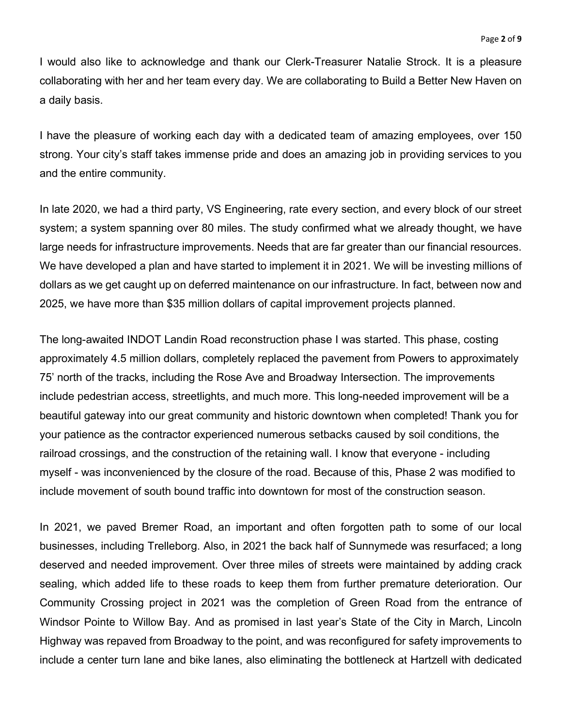I would also like to acknowledge and thank our Clerk-Treasurer Natalie Strock. It is a pleasure collaborating with her and her team every day. We are collaborating to Build a Better New Haven on a daily basis.

I have the pleasure of working each day with a dedicated team of amazing employees, over 150 strong. Your city's staff takes immense pride and does an amazing job in providing services to you and the entire community.

In late 2020, we had a third party, VS Engineering, rate every section, and every block of our street system; a system spanning over 80 miles. The study confirmed what we already thought, we have large needs for infrastructure improvements. Needs that are far greater than our financial resources. We have developed a plan and have started to implement it in 2021. We will be investing millions of dollars as we get caught up on deferred maintenance on our infrastructure. In fact, between now and 2025, we have more than \$35 million dollars of capital improvement projects planned.

The long-awaited INDOT Landin Road reconstruction phase I was started. This phase, costing approximately 4.5 million dollars, completely replaced the pavement from Powers to approximately 75' north of the tracks, including the Rose Ave and Broadway Intersection. The improvements include pedestrian access, streetlights, and much more. This long-needed improvement will be a beautiful gateway into our great community and historic downtown when completed! Thank you for your patience as the contractor experienced numerous setbacks caused by soil conditions, the railroad crossings, and the construction of the retaining wall. I know that everyone - including myself - was inconvenienced by the closure of the road. Because of this, Phase 2 was modified to include movement of south bound traffic into downtown for most of the construction season.

In 2021, we paved Bremer Road, an important and often forgotten path to some of our local businesses, including Trelleborg. Also, in 2021 the back half of Sunnymede was resurfaced; a long deserved and needed improvement. Over three miles of streets were maintained by adding crack sealing, which added life to these roads to keep them from further premature deterioration. Our Community Crossing project in 2021 was the completion of Green Road from the entrance of Windsor Pointe to Willow Bay. And as promised in last year's State of the City in March, Lincoln Highway was repaved from Broadway to the point, and was reconfigured for safety improvements to include a center turn lane and bike lanes, also eliminating the bottleneck at Hartzell with dedicated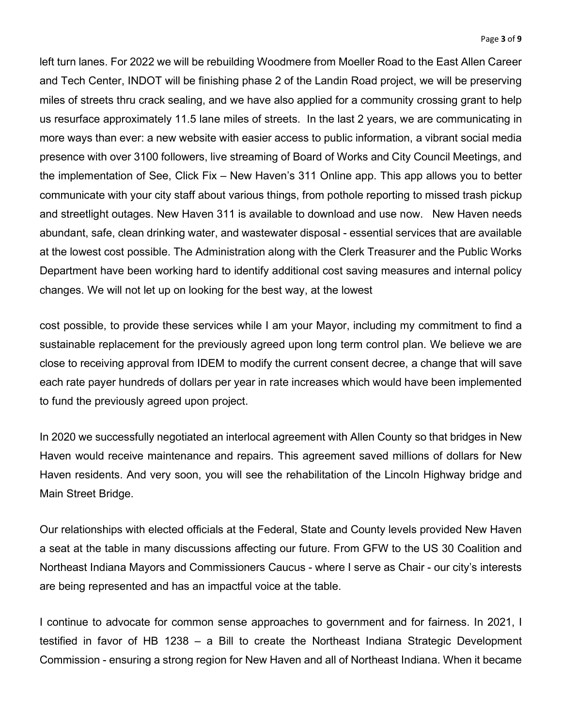left turn lanes. For 2022 we will be rebuilding Woodmere from Moeller Road to the East Allen Career and Tech Center, INDOT will be finishing phase 2 of the Landin Road project, we will be preserving miles of streets thru crack sealing, and we have also applied for a community crossing grant to help us resurface approximately 11.5 lane miles of streets. In the last 2 years, we are communicating in more ways than ever: a new website with easier access to public information, a vibrant social media presence with over 3100 followers, live streaming of Board of Works and City Council Meetings, and the implementation of See, Click Fix – New Haven's 311 Online app. This app allows you to better communicate with your city staff about various things, from pothole reporting to missed trash pickup and streetlight outages. New Haven 311 is available to download and use now. New Haven needs abundant, safe, clean drinking water, and wastewater disposal - essential services that are available at the lowest cost possible. The Administration along with the Clerk Treasurer and the Public Works Department have been working hard to identify additional cost saving measures and internal policy changes. We will not let up on looking for the best way, at the lowest

cost possible, to provide these services while I am your Mayor, including my commitment to find a sustainable replacement for the previously agreed upon long term control plan. We believe we are close to receiving approval from IDEM to modify the current consent decree, a change that will save each rate payer hundreds of dollars per year in rate increases which would have been implemented to fund the previously agreed upon project.

In 2020 we successfully negotiated an interlocal agreement with Allen County so that bridges in New Haven would receive maintenance and repairs. This agreement saved millions of dollars for New Haven residents. And very soon, you will see the rehabilitation of the Lincoln Highway bridge and Main Street Bridge.

Our relationships with elected officials at the Federal, State and County levels provided New Haven a seat at the table in many discussions affecting our future. From GFW to the US 30 Coalition and Northeast Indiana Mayors and Commissioners Caucus - where I serve as Chair - our city's interests are being represented and has an impactful voice at the table.

I continue to advocate for common sense approaches to government and for fairness. In 2021, I testified in favor of HB 1238 – a Bill to create the Northeast Indiana Strategic Development Commission - ensuring a strong region for New Haven and all of Northeast Indiana. When it became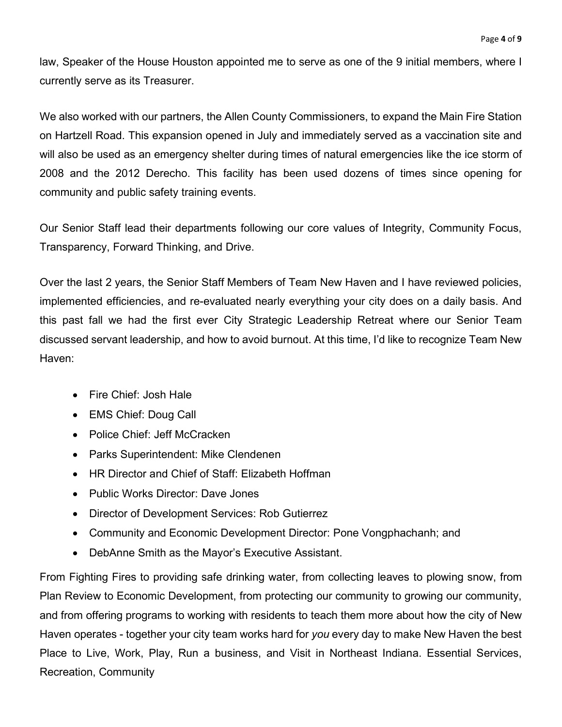law, Speaker of the House Houston appointed me to serve as one of the 9 initial members, where I currently serve as its Treasurer.

We also worked with our partners, the Allen County Commissioners, to expand the Main Fire Station on Hartzell Road. This expansion opened in July and immediately served as a vaccination site and will also be used as an emergency shelter during times of natural emergencies like the ice storm of 2008 and the 2012 Derecho. This facility has been used dozens of times since opening for community and public safety training events.

Our Senior Staff lead their departments following our core values of Integrity, Community Focus, Transparency, Forward Thinking, and Drive.

Over the last 2 years, the Senior Staff Members of Team New Haven and I have reviewed policies, implemented efficiencies, and re-evaluated nearly everything your city does on a daily basis. And this past fall we had the first ever City Strategic Leadership Retreat where our Senior Team discussed servant leadership, and how to avoid burnout. At this time, I'd like to recognize Team New Haven:

- Fire Chief: Josh Hale
- EMS Chief: Doug Call
- Police Chief: Jeff McCracken
- Parks Superintendent: Mike Clendenen
- HR Director and Chief of Staff: Elizabeth Hoffman
- Public Works Director: Dave Jones
- Director of Development Services: Rob Gutierrez
- Community and Economic Development Director: Pone Vongphachanh; and
- DebAnne Smith as the Mayor's Executive Assistant.

From Fighting Fires to providing safe drinking water, from collecting leaves to plowing snow, from Plan Review to Economic Development, from protecting our community to growing our community, and from offering programs to working with residents to teach them more about how the city of New Haven operates - together your city team works hard for *you* every day to make New Haven the best Place to Live, Work, Play, Run a business, and Visit in Northeast Indiana. Essential Services, Recreation, Community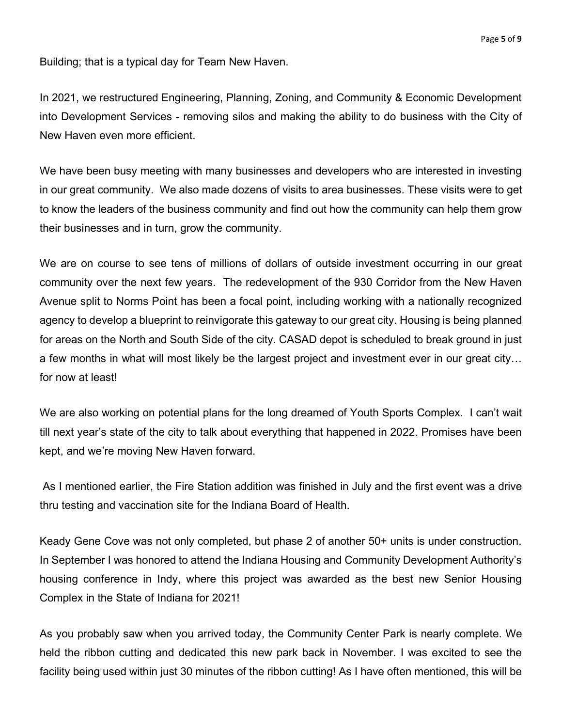Building; that is a typical day for Team New Haven.

In 2021, we restructured Engineering, Planning, Zoning, and Community & Economic Development into Development Services - removing silos and making the ability to do business with the City of New Haven even more efficient.

We have been busy meeting with many businesses and developers who are interested in investing in our great community. We also made dozens of visits to area businesses. These visits were to get to know the leaders of the business community and find out how the community can help them grow their businesses and in turn, grow the community.

We are on course to see tens of millions of dollars of outside investment occurring in our great community over the next few years. The redevelopment of the 930 Corridor from the New Haven Avenue split to Norms Point has been a focal point, including working with a nationally recognized agency to develop a blueprint to reinvigorate this gateway to our great city. Housing is being planned for areas on the North and South Side of the city. CASAD depot is scheduled to break ground in just a few months in what will most likely be the largest project and investment ever in our great city… for now at least!

We are also working on potential plans for the long dreamed of Youth Sports Complex. I can't wait till next year's state of the city to talk about everything that happened in 2022. Promises have been kept, and we're moving New Haven forward.

As I mentioned earlier, the Fire Station addition was finished in July and the first event was a drive thru testing and vaccination site for the Indiana Board of Health.

Keady Gene Cove was not only completed, but phase 2 of another 50+ units is under construction. In September I was honored to attend the Indiana Housing and Community Development Authority's housing conference in Indy, where this project was awarded as the best new Senior Housing Complex in the State of Indiana for 2021!

As you probably saw when you arrived today, the Community Center Park is nearly complete. We held the ribbon cutting and dedicated this new park back in November. I was excited to see the facility being used within just 30 minutes of the ribbon cutting! As I have often mentioned, this will be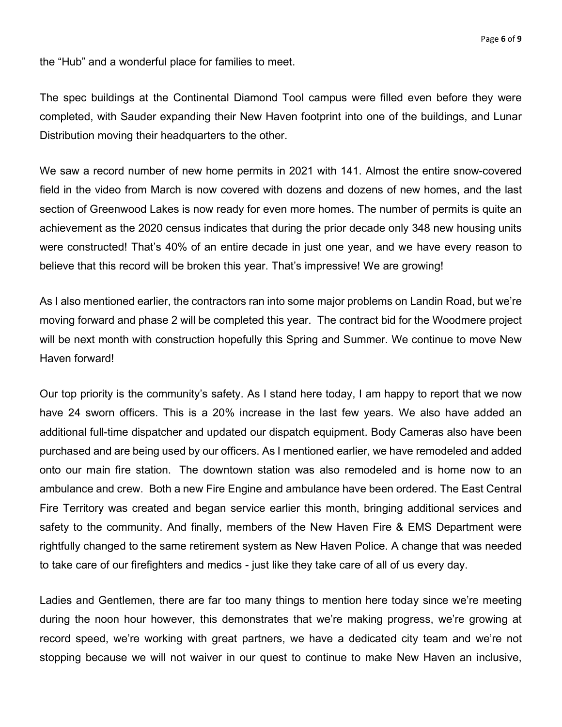the "Hub" and a wonderful place for families to meet.

The spec buildings at the Continental Diamond Tool campus were filled even before they were completed, with Sauder expanding their New Haven footprint into one of the buildings, and Lunar Distribution moving their headquarters to the other.

We saw a record number of new home permits in 2021 with 141. Almost the entire snow-covered field in the video from March is now covered with dozens and dozens of new homes, and the last section of Greenwood Lakes is now ready for even more homes. The number of permits is quite an achievement as the 2020 census indicates that during the prior decade only 348 new housing units were constructed! That's 40% of an entire decade in just one year, and we have every reason to believe that this record will be broken this year. That's impressive! We are growing!

As I also mentioned earlier, the contractors ran into some major problems on Landin Road, but we're moving forward and phase 2 will be completed this year. The contract bid for the Woodmere project will be next month with construction hopefully this Spring and Summer. We continue to move New Haven forward!

Our top priority is the community's safety. As I stand here today, I am happy to report that we now have 24 sworn officers. This is a 20% increase in the last few years. We also have added an additional full-time dispatcher and updated our dispatch equipment. Body Cameras also have been purchased and are being used by our officers. As I mentioned earlier, we have remodeled and added onto our main fire station. The downtown station was also remodeled and is home now to an ambulance and crew. Both a new Fire Engine and ambulance have been ordered. The East Central Fire Territory was created and began service earlier this month, bringing additional services and safety to the community. And finally, members of the New Haven Fire & EMS Department were rightfully changed to the same retirement system as New Haven Police. A change that was needed to take care of our firefighters and medics - just like they take care of all of us every day.

Ladies and Gentlemen, there are far too many things to mention here today since we're meeting during the noon hour however, this demonstrates that we're making progress, we're growing at record speed, we're working with great partners, we have a dedicated city team and we're not stopping because we will not waiver in our quest to continue to make New Haven an inclusive,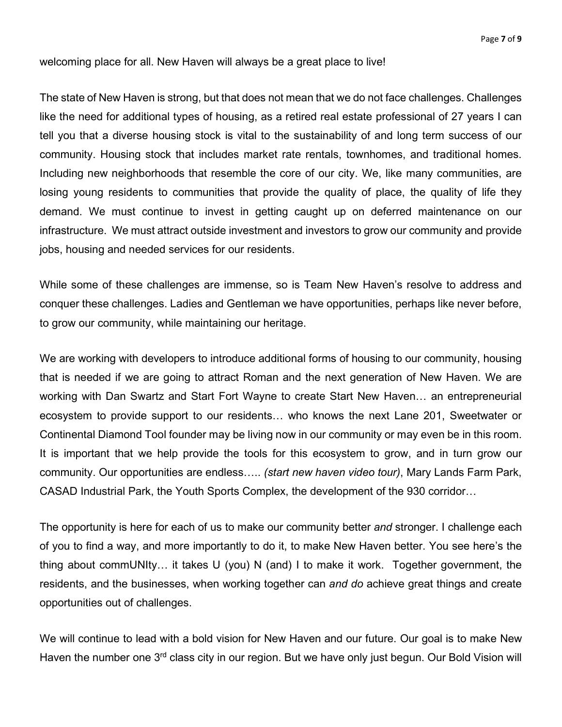welcoming place for all. New Haven will always be a great place to live!

The state of New Haven is strong, but that does not mean that we do not face challenges. Challenges like the need for additional types of housing, as a retired real estate professional of 27 years I can tell you that a diverse housing stock is vital to the sustainability of and long term success of our community. Housing stock that includes market rate rentals, townhomes, and traditional homes. Including new neighborhoods that resemble the core of our city. We, like many communities, are losing young residents to communities that provide the quality of place, the quality of life they demand. We must continue to invest in getting caught up on deferred maintenance on our infrastructure. We must attract outside investment and investors to grow our community and provide jobs, housing and needed services for our residents.

While some of these challenges are immense, so is Team New Haven's resolve to address and conquer these challenges. Ladies and Gentleman we have opportunities, perhaps like never before, to grow our community, while maintaining our heritage.

We are working with developers to introduce additional forms of housing to our community, housing that is needed if we are going to attract Roman and the next generation of New Haven. We are working with Dan Swartz and Start Fort Wayne to create Start New Haven… an entrepreneurial ecosystem to provide support to our residents… who knows the next Lane 201, Sweetwater or Continental Diamond Tool founder may be living now in our community or may even be in this room. It is important that we help provide the tools for this ecosystem to grow, and in turn grow our community. Our opportunities are endless….. *(start new haven video tour)*, Mary Lands Farm Park, CASAD Industrial Park, the Youth Sports Complex, the development of the 930 corridor…

The opportunity is here for each of us to make our community better *and* stronger. I challenge each of you to find a way, and more importantly to do it, to make New Haven better. You see here's the thing about commUNIty… it takes U (you) N (and) I to make it work. Together government, the residents, and the businesses, when working together can *and do* achieve great things and create opportunities out of challenges.

We will continue to lead with a bold vision for New Haven and our future. Our goal is to make New Haven the number one 3<sup>rd</sup> class city in our region. But we have only just begun. Our Bold Vision will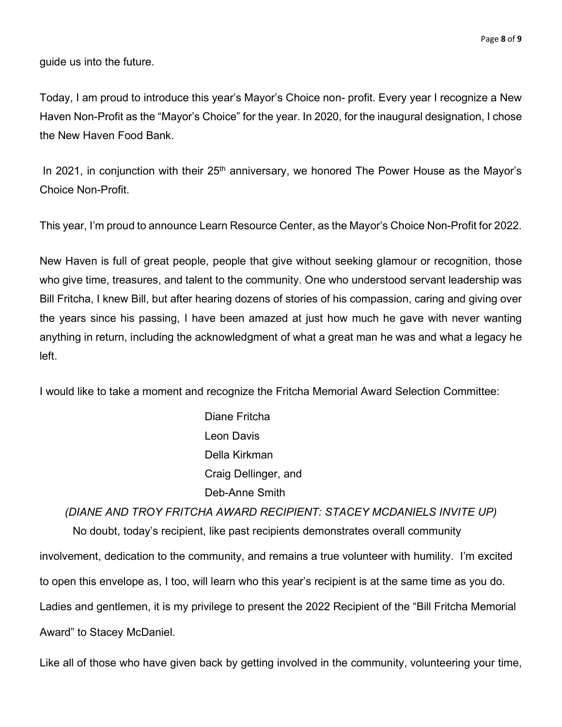guide us into the future.

Today, I am proud to introduce this year's Mayor's Choice non- profit. Every year I recognize a New Haven Non-Profit as the "Mayor's Choice" for the year. In 2020, for the inaugural designation, I chose the New Haven Food Bank.

In 2021, in conjunction with their  $25<sup>th</sup>$  anniversary, we honored The Power House as the Mayor's Choice Non-Profit.

This year, I'm proud to announce Learn Resource Center, as the Mayor's Choice Non-Profit for 2022.

New Haven is full of great people, people that give without seeking glamour or recognition, those who give time, treasures, and talent to the community. One who understood servant leadership was Bill Fritcha, I knew Bill, but after hearing dozens of stories of his compassion, caring and giving over the years since his passing, I have been amazed at just how much he gave with never wanting anything in return, including the acknowledgment of what a great man he was and what a legacy he left.

I would like to take a moment and recognize the Fritcha Memorial Award Selection Committee:

Diane Fritcha Leon Davis Della Kirkman Craig Dellinger, and Deb-Anne Smith

*(DIANE AND TROY FRITCHA AWARD RECIPIENT: STACEY MCDANIELS INVITE UP)* No doubt, today's recipient, like past recipients demonstrates overall community involvement, dedication to the community, and remains a true volunteer with humility. I'm excited to open this envelope as, I too, will learn who this year's recipient is at the same time as you do. Ladies and gentlemen, it is my privilege to present the 2022 Recipient of the "Bill Fritcha Memorial Award" to Stacey McDaniel.

Like all of those who have given back by getting involved in the community, volunteering your time,